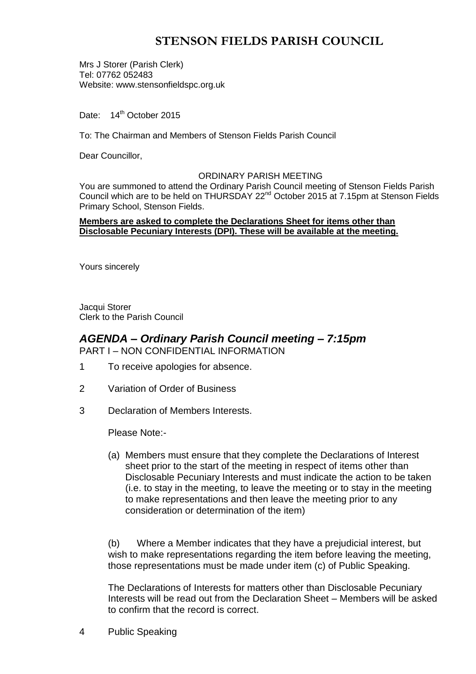# **STENSON FIELDS PARISH COUNCIL**

Mrs J Storer (Parish Clerk) Tel: 07762 052483 Website: www.stensonfieldspc.org.uk

Date: 14<sup>th</sup> October 2015

To: The Chairman and Members of Stenson Fields Parish Council

Dear Councillor,

#### ORDINARY PARISH MEETING

You are summoned to attend the Ordinary Parish Council meeting of Stenson Fields Parish Council which are to be held on THURSDAY 22<sup>nd</sup> October 2015 at 7.15pm at Stenson Fields Primary School, Stenson Fields.

### **Members are asked to complete the Declarations Sheet for items other than Disclosable Pecuniary Interests (DPI). These will be available at the meeting.**

Yours sincerely

Jacqui Storer Clerk to the Parish Council

### *AGENDA – Ordinary Parish Council meeting – 7:15pm* PART I – NON CONFIDENTIAL INFORMATION

- 1 To receive apologies for absence.
- 2 Variation of Order of Business
- 3 Declaration of Members Interests.

Please Note:-

(a) Members must ensure that they complete the Declarations of Interest sheet prior to the start of the meeting in respect of items other than Disclosable Pecuniary Interests and must indicate the action to be taken (i.e. to stay in the meeting, to leave the meeting or to stay in the meeting to make representations and then leave the meeting prior to any consideration or determination of the item)

(b) Where a Member indicates that they have a prejudicial interest, but wish to make representations regarding the item before leaving the meeting, those representations must be made under item (c) of Public Speaking.

The Declarations of Interests for matters other than Disclosable Pecuniary Interests will be read out from the Declaration Sheet – Members will be asked to confirm that the record is correct.

4 Public Speaking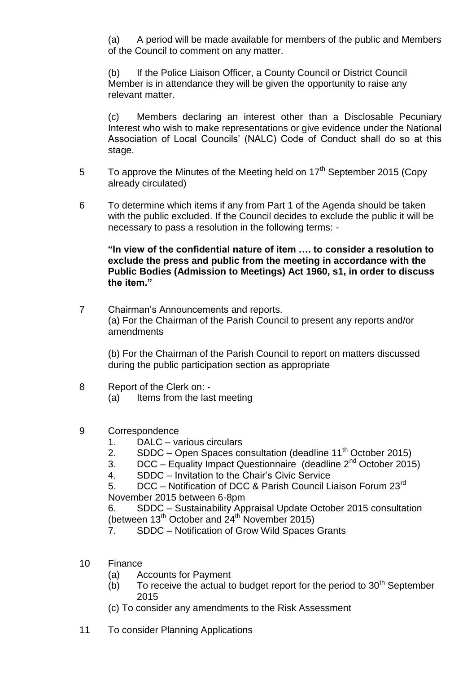(a) A period will be made available for members of the public and Members of the Council to comment on any matter.

(b) If the Police Liaison Officer, a County Council or District Council Member is in attendance they will be given the opportunity to raise any relevant matter.

(c) Members declaring an interest other than a Disclosable Pecuniary Interest who wish to make representations or give evidence under the National Association of Local Councils' (NALC) Code of Conduct shall do so at this stage.

- 5 To approve the Minutes of the Meeting held on  $17<sup>th</sup>$  September 2015 (Copy already circulated)
- 6 To determine which items if any from Part 1 of the Agenda should be taken with the public excluded. If the Council decides to exclude the public it will be necessary to pass a resolution in the following terms: -

**"In view of the confidential nature of item …. to consider a resolution to exclude the press and public from the meeting in accordance with the Public Bodies (Admission to Meetings) Act 1960, s1, in order to discuss the item."** 

7 Chairman's Announcements and reports. (a) For the Chairman of the Parish Council to present any reports and/or amendments

(b) For the Chairman of the Parish Council to report on matters discussed during the public participation section as appropriate

- 8 Report of the Clerk on:
	- (a) Items from the last meeting
- 9 Correspondence
	- 1. DALC various circulars
	- 2. SDDC Open Spaces consultation (deadline  $11<sup>th</sup>$  October 2015)
	- 3. DCC Equality Impact Questionnaire (deadline  $2^{nd}$  October 2015)
	- 4. SDDC Invitation to the Chair's Civic Service

5. DCC – Notification of DCC & Parish Council Liaison Forum 23<sup>rd</sup> November 2015 between 6-8pm

6. SDDC – Sustainability Appraisal Update October 2015 consultation (between  $13<sup>th</sup>$  October and  $24<sup>th</sup>$  November 2015)

- 7. SDDC Notification of Grow Wild Spaces Grants
- 10 Finance
	- (a) Accounts for Payment
	- $(b)$  To receive the actual to budget report for the period to 30<sup>th</sup> September 2015
	- (c) To consider any amendments to the Risk Assessment
- 11 To consider Planning Applications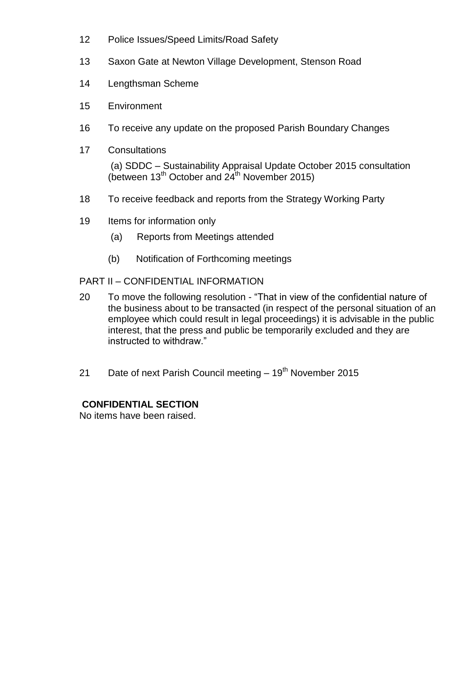- 12 Police Issues/Speed Limits/Road Safety
- 13 Saxon Gate at Newton Village Development, Stenson Road
- 14 Lengthsman Scheme
- 15 Environment
- 16 To receive any update on the proposed Parish Boundary Changes
- 17 Consultations

(a) SDDC – Sustainability Appraisal Update October 2015 consultation (between  $13<sup>th</sup>$  October and  $24<sup>th</sup>$  November 2015)

- 18 To receive feedback and reports from the Strategy Working Party
- 19 Items for information only
	- (a) Reports from Meetings attended
	- (b) Notification of Forthcoming meetings

## PART II – CONFIDENTIAL INFORMATION

- 20 To move the following resolution "That in view of the confidential nature of the business about to be transacted (in respect of the personal situation of an employee which could result in legal proceedings) it is advisable in the public interest, that the press and public be temporarily excluded and they are instructed to withdraw."
- 21 Date of next Parish Council meeting  $-19<sup>th</sup>$  November 2015

# **CONFIDENTIAL SECTION**

No items have been raised.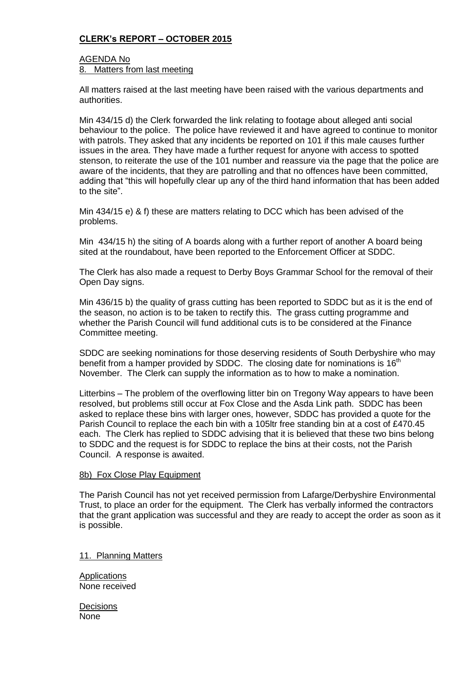## **CLERK's REPORT – OCTOBER 2015**

### AGENDA No 8. Matters from last meeting

All matters raised at the last meeting have been raised with the various departments and authorities.

Min 434/15 d) the Clerk forwarded the link relating to footage about alleged anti social behaviour to the police. The police have reviewed it and have agreed to continue to monitor with patrols. They asked that any incidents be reported on 101 if this male causes further issues in the area. They have made a further request for anyone with access to spotted stenson, to reiterate the use of the 101 number and reassure via the page that the police are aware of the incidents, that they are patrolling and that no offences have been committed, adding that "this will hopefully clear up any of the third hand information that has been added to the site".

Min 434/15 e) & f) these are matters relating to DCC which has been advised of the problems.

Min 434/15 h) the siting of A boards along with a further report of another A board being sited at the roundabout, have been reported to the Enforcement Officer at SDDC.

The Clerk has also made a request to Derby Boys Grammar School for the removal of their Open Day signs.

Min 436/15 b) the quality of grass cutting has been reported to SDDC but as it is the end of the season, no action is to be taken to rectify this. The grass cutting programme and whether the Parish Council will fund additional cuts is to be considered at the Finance Committee meeting.

SDDC are seeking nominations for those deserving residents of South Derbyshire who may benefit from a hamper provided by SDDC. The closing date for nominations is  $16<sup>th</sup>$ November. The Clerk can supply the information as to how to make a nomination.

Litterbins – The problem of the overflowing litter bin on Tregony Way appears to have been resolved, but problems still occur at Fox Close and the Asda Link path. SDDC has been asked to replace these bins with larger ones, however, SDDC has provided a quote for the Parish Council to replace the each bin with a 105ltr free standing bin at a cost of £470.45 each. The Clerk has replied to SDDC advising that it is believed that these two bins belong to SDDC and the request is for SDDC to replace the bins at their costs, not the Parish Council. A response is awaited.

#### 8b) Fox Close Play Equipment

The Parish Council has not yet received permission from Lafarge/Derbyshire Environmental Trust, to place an order for the equipment. The Clerk has verbally informed the contractors that the grant application was successful and they are ready to accept the order as soon as it is possible.

11. Planning Matters

Applications None received

**Decisions** None